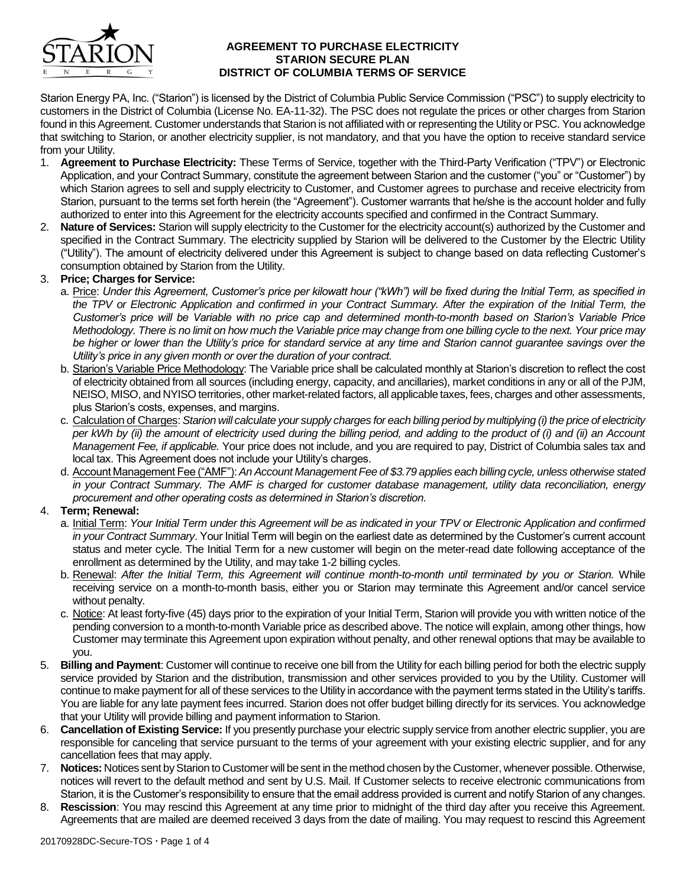

#### **AGREEMENT TO PURCHASE ELECTRICITY STARION SECURE PLAN DISTRICT OF COLUMBIA TERMS OF SERVICE**

Starion Energy PA, Inc. ("Starion") is licensed by the District of Columbia Public Service Commission ("PSC") to supply electricity to customers in the District of Columbia (License No. EA-11-32). The PSC does not regulate the prices or other charges from Starion found in this Agreement. Customer understands that Starion is not affiliated with or representing the Utility or PSC. You acknowledge that switching to Starion, or another electricity supplier, is not mandatory, and that you have the option to receive standard service from your Utility.

- 1. **Agreement to Purchase Electricity:** These Terms of Service, together with the Third-Party Verification ("TPV") or Electronic Application, and your Contract Summary, constitute the agreement between Starion and the customer ("you" or "Customer") by which Starion agrees to sell and supply electricity to Customer, and Customer agrees to purchase and receive electricity from Starion, pursuant to the terms set forth herein (the "Agreement"). Customer warrants that he/she is the account holder and fully authorized to enter into this Agreement for the electricity accounts specified and confirmed in the Contract Summary.
- 2. **Nature of Services:** Starion will supply electricity to the Customer for the electricity account(s) authorized by the Customer and specified in the Contract Summary. The electricity supplied by Starion will be delivered to the Customer by the Electric Utility ("Utility"). The amount of electricity delivered under this Agreement is subject to change based on data reflecting Customer's consumption obtained by Starion from the Utility.

### 3. **Price; Charges for Service:**

- a. Price: *Under this Agreement, Customer's price per kilowatt hour ("kWh") will be fixed during the Initial Term, as specified in the TPV or Electronic Application and confirmed in your Contract Summary. After the expiration of the Initial Term, the Customer's price will be Variable with no price cap and determined month-to-month based on Starion's Variable Price Methodology. There is no limit on how much the Variable price may change from one billing cycle to the next. Your price may be higher or lower than the Utility's price for standard service at any time and Starion cannot guarantee savings over the Utility's price in any given month or over the duration of your contract.*
- b. Starion's Variable Price Methodology: The Variable price shall be calculated monthly at Starion's discretion to reflect the cost of electricity obtained from all sources (including energy, capacity, and ancillaries), market conditions in any or all of the PJM, NEISO, MISO, and NYISO territories, other market-related factors, all applicable taxes, fees, charges and other assessments, plus Starion's costs, expenses, and margins.
- c. Calculation of Charges: *Starion will calculate your supply charges for each billing period by multiplying (i) the price of electricity per kWh by (ii) the amount of electricity used during the billing period, and adding to the product of (i) and (ii) an Account Management Fee, if applicable.* Your price does not include, and you are required to pay, District of Columbia sales tax and local tax. This Agreement does not include your Utility's charges.
- d. Account Management Fee ("AMF"): *An Account Management Fee of \$3.79 applies each billing cycle, unless otherwise stated in your Contract Summary. The AMF is charged for customer database management, utility data reconciliation, energy procurement and other operating costs as determined in Starion's discretion.*

## 4. **Term; Renewal:**

- a. Initial Term: *Your Initial Term under this Agreement will be as indicated in your TPV or Electronic Application and confirmed in your Contract Summary*. Your Initial Term will begin on the earliest date as determined by the Customer's current account status and meter cycle. The Initial Term for a new customer will begin on the meter-read date following acceptance of the enrollment as determined by the Utility, and may take 1-2 billing cycles.
- b. Renewal: *After the Initial Term, this Agreement will continue month-to-month until terminated by you or Starion.* While receiving service on a month-to-month basis, either you or Starion may terminate this Agreement and/or cancel service without penalty.
- c. Notice: At least forty-five (45) days prior to the expiration of your Initial Term, Starion will provide you with written notice of the pending conversion to a month-to-month Variable price as described above. The notice will explain, among other things, how Customer may terminate this Agreement upon expiration without penalty, and other renewal options that may be available to you.
- 5. **Billing and Payment**: Customer will continue to receive one bill from the Utility for each billing period for both the electric supply service provided by Starion and the distribution, transmission and other services provided to you by the Utility. Customer will continue to make payment for all of these services to the Utility in accordance with the payment terms stated in the Utility's tariffs. You are liable for any late payment fees incurred. Starion does not offer budget billing directly for its services. You acknowledge that your Utility will provide billing and payment information to Starion.
- 6. **Cancellation of Existing Service:** If you presently purchase your electric supply service from another electric supplier, you are responsible for canceling that service pursuant to the terms of your agreement with your existing electric supplier, and for any cancellation fees that may apply.
- 7. **Notices:** Notices sent by Starion to Customer will be sent in the method chosen by the Customer, whenever possible. Otherwise, notices will revert to the default method and sent by U.S. Mail. If Customer selects to receive electronic communications from Starion, it is the Customer's responsibility to ensure that the email address provided is current and notify Starion of any changes.
- 8. **Rescission**: You may rescind this Agreement at any time prior to midnight of the third day after you receive this Agreement. Agreements that are mailed are deemed received 3 days from the date of mailing. You may request to rescind this Agreement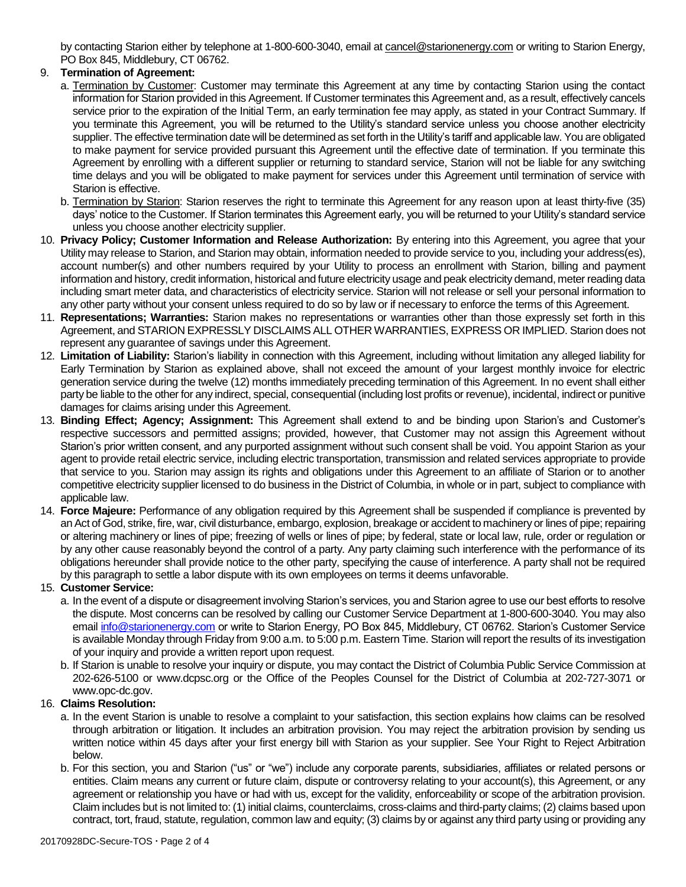by contacting Starion either by telephone at 1-800-600-3040, email at cancel@starionenergy.com or writing to Starion Energy, PO Box 845, Middlebury, CT 06762.

# 9. **Termination of Agreement:**

- a. Termination by Customer: Customer may terminate this Agreement at any time by contacting Starion using the contact information for Starion provided in this Agreement. If Customer terminates this Agreement and, as a result, effectively cancels service prior to the expiration of the Initial Term, an early termination fee may apply, as stated in your Contract Summary. If you terminate this Agreement, you will be returned to the Utility's standard service unless you choose another electricity supplier. The effective termination date will be determined as set forth in the Utility's tariff and applicable law. You are obligated to make payment for service provided pursuant this Agreement until the effective date of termination. If you terminate this Agreement by enrolling with a different supplier or returning to standard service, Starion will not be liable for any switching time delays and you will be obligated to make payment for services under this Agreement until termination of service with Starion is effective.
- b. Termination by Starion: Starion reserves the right to terminate this Agreement for any reason upon at least thirty-five (35) days' notice to the Customer. If Starion terminates this Agreement early, you will be returned to your Utility's standard service unless you choose another electricity supplier.
- 10. **Privacy Policy; Customer Information and Release Authorization:** By entering into this Agreement, you agree that your Utility may release to Starion, and Starion may obtain, information needed to provide service to you, including your address(es), account number(s) and other numbers required by your Utility to process an enrollment with Starion, billing and payment information and history, credit information, historical and future electricity usage and peak electricity demand, meter reading data including smart meter data, and characteristics of electricity service. Starion will not release or sell your personal information to any other party without your consent unless required to do so by law or if necessary to enforce the terms of this Agreement.
- 11. **Representations; Warranties:** Starion makes no representations or warranties other than those expressly set forth in this Agreement, and STARION EXPRESSLY DISCLAIMS ALL OTHER WARRANTIES, EXPRESS OR IMPLIED. Starion does not represent any guarantee of savings under this Agreement.
- 12. **Limitation of Liability:** Starion's liability in connection with this Agreement, including without limitation any alleged liability for Early Termination by Starion as explained above, shall not exceed the amount of your largest monthly invoice for electric generation service during the twelve (12) months immediately preceding termination of this Agreement. In no event shall either party be liable to the other for any indirect, special, consequential (including lost profits or revenue), incidental, indirect or punitive damages for claims arising under this Agreement.
- 13. **Binding Effect; Agency; Assignment:** This Agreement shall extend to and be binding upon Starion's and Customer's respective successors and permitted assigns; provided, however, that Customer may not assign this Agreement without Starion's prior written consent, and any purported assignment without such consent shall be void. You appoint Starion as your agent to provide retail electric service, including electric transportation, transmission and related services appropriate to provide that service to you. Starion may assign its rights and obligations under this Agreement to an affiliate of Starion or to another competitive electricity supplier licensed to do business in the District of Columbia, in whole or in part, subject to compliance with applicable law.
- 14. **Force Majeure:** Performance of any obligation required by this Agreement shall be suspended if compliance is prevented by an Act of God, strike, fire, war, civil disturbance, embargo, explosion, breakage or accident to machinery or lines of pipe; repairing or altering machinery or lines of pipe; freezing of wells or lines of pipe; by federal, state or local law, rule, order or regulation or by any other cause reasonably beyond the control of a party. Any party claiming such interference with the performance of its obligations hereunder shall provide notice to the other party, specifying the cause of interference. A party shall not be required by this paragraph to settle a labor dispute with its own employees on terms it deems unfavorable.

## 15. **Customer Service:**

- a. In the event of a dispute or disagreement involving Starion's services, you and Starion agree to use our best efforts to resolve the dispute. Most concerns can be resolved by calling our Customer Service Department at 1-800-600-3040. You may also email [info@starionenergy.com](mailto:info@starionenergy.com) or write to Starion Energy, PO Box 845, Middlebury, CT 06762. Starion's Customer Service is available Monday through Friday from 9:00 a.m. to 5:00 p.m. Eastern Time. Starion will report the results of its investigation of your inquiry and provide a written report upon request.
- b. If Starion is unable to resolve your inquiry or dispute, you may contact the District of Columbia Public Service Commission at 202-626-5100 or www.dcpsc.org or the Office of the Peoples Counsel for the District of Columbia at 202-727-3071 or www.opc-dc.gov.

## 16. **Claims Resolution:**

- a. In the event Starion is unable to resolve a complaint to your satisfaction, this section explains how claims can be resolved through arbitration or litigation. It includes an arbitration provision. You may reject the arbitration provision by sending us written notice within 45 days after your first energy bill with Starion as your supplier. See Your Right to Reject Arbitration below.
- b. For this section, you and Starion ("us" or "we") include any corporate parents, subsidiaries, affiliates or related persons or entities. Claim means any current or future claim, dispute or controversy relating to your account(s), this Agreement, or any agreement or relationship you have or had with us, except for the validity, enforceability or scope of the arbitration provision. Claim includes but is not limited to: (1) initial claims, counterclaims, cross-claims and third-party claims; (2) claims based upon contract, tort, fraud, statute, regulation, common law and equity; (3) claims by or against any third party using or providing any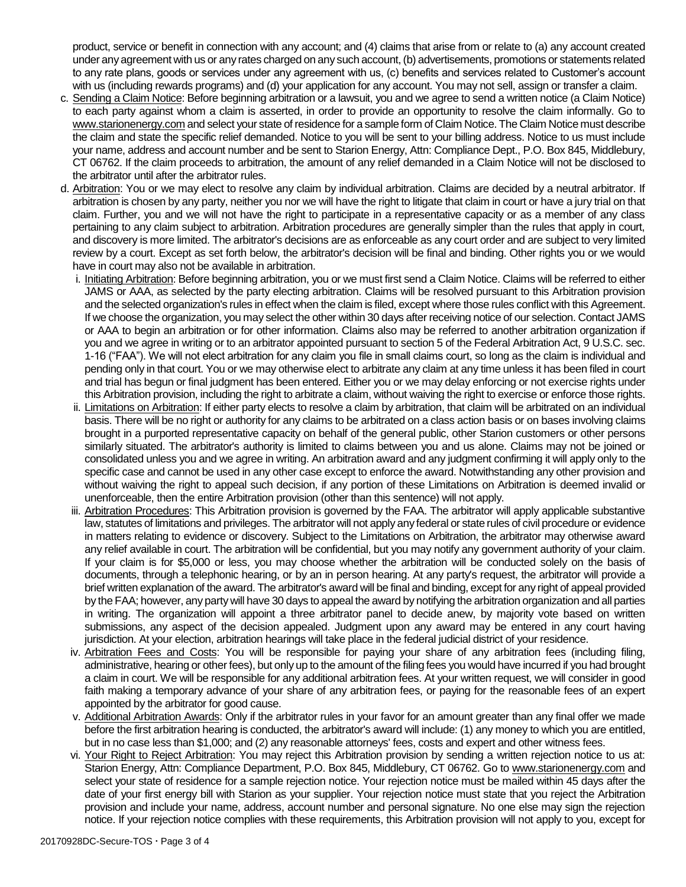product, service or benefit in connection with any account; and (4) claims that arise from or relate to (a) any account created under any agreement with us or any rates charged on any such account, (b) advertisements, promotions or statements related to any rate plans, goods or services under any agreement with us, (c) benefits and services related to Customer's account with us (including rewards programs) and (d) your application for any account. You may not sell, assign or transfer a claim.

- c. Sending a Claim Notice: Before beginning arbitration or a lawsuit, you and we agree to send a written notice (a Claim Notice) to each party against whom a claim is asserted, in order to provide an opportunity to resolve the claim informally. Go to www.starionenergy.com and select your state of residence for a sample form of Claim Notice. The Claim Notice must describe the claim and state the specific relief demanded. Notice to you will be sent to your billing address. Notice to us must include your name, address and account number and be sent to Starion Energy, Attn: Compliance Dept., P.O. Box 845, Middlebury, CT 06762. If the claim proceeds to arbitration, the amount of any relief demanded in a Claim Notice will not be disclosed to the arbitrator until after the arbitrator rules.
- d. Arbitration: You or we may elect to resolve any claim by individual arbitration. Claims are decided by a neutral arbitrator. If arbitration is chosen by any party, neither you nor we will have the right to litigate that claim in court or have a jury trial on that claim. Further, you and we will not have the right to participate in a representative capacity or as a member of any class pertaining to any claim subject to arbitration. Arbitration procedures are generally simpler than the rules that apply in court, and discovery is more limited. The arbitrator's decisions are as enforceable as any court order and are subject to very limited review by a court. Except as set forth below, the arbitrator's decision will be final and binding. Other rights you or we would have in court may also not be available in arbitration.
	- i. Initiating Arbitration: Before beginning arbitration, you or we must first send a Claim Notice. Claims will be referred to either JAMS or AAA, as selected by the party electing arbitration. Claims will be resolved pursuant to this Arbitration provision and the selected organization's rules in effect when the claim is filed, except where those rules conflict with this Agreement. If we choose the organization, you may select the other within 30 days after receiving notice of our selection. Contact JAMS or AAA to begin an arbitration or for other information. Claims also may be referred to another arbitration organization if you and we agree in writing or to an arbitrator appointed pursuant to section 5 of the Federal Arbitration Act, 9 U.S.C. sec. 1-16 ("FAA"). We will not elect arbitration for any claim you file in small claims court, so long as the claim is individual and pending only in that court. You or we may otherwise elect to arbitrate any claim at any time unless it has been filed in court and trial has begun or final judgment has been entered. Either you or we may delay enforcing or not exercise rights under this Arbitration provision, including the right to arbitrate a claim, without waiving the right to exercise or enforce those rights.
	- ii. Limitations on Arbitration: If either party elects to resolve a claim by arbitration, that claim will be arbitrated on an individual basis. There will be no right or authority for any claims to be arbitrated on a class action basis or on bases involving claims brought in a purported representative capacity on behalf of the general public, other Starion customers or other persons similarly situated. The arbitrator's authority is limited to claims between you and us alone. Claims may not be joined or consolidated unless you and we agree in writing. An arbitration award and any judgment confirming it will apply only to the specific case and cannot be used in any other case except to enforce the award. Notwithstanding any other provision and without waiving the right to appeal such decision, if any portion of these Limitations on Arbitration is deemed invalid or unenforceable, then the entire Arbitration provision (other than this sentence) will not apply.
	- iii. Arbitration Procedures: This Arbitration provision is governed by the FAA. The arbitrator will apply applicable substantive law, statutes of limitations and privileges. The arbitrator will not apply any federal or state rules of civil procedure or evidence in matters relating to evidence or discovery. Subject to the Limitations on Arbitration, the arbitrator may otherwise award any relief available in court. The arbitration will be confidential, but you may notify any government authority of your claim. If your claim is for \$5,000 or less, you may choose whether the arbitration will be conducted solely on the basis of documents, through a telephonic hearing, or by an in person hearing. At any party's request, the arbitrator will provide a brief written explanation of the award. The arbitrator's award will be final and binding, except for any right of appeal provided by the FAA; however, any party will have 30 days to appeal the award by notifying the arbitration organization and all parties in writing. The organization will appoint a three arbitrator panel to decide anew, by majority vote based on written submissions, any aspect of the decision appealed. Judgment upon any award may be entered in any court having jurisdiction. At your election, arbitration hearings will take place in the federal judicial district of your residence.
	- iv. Arbitration Fees and Costs: You will be responsible for paying your share of any arbitration fees (including filing, administrative, hearing or other fees), but only up to the amount of the filing fees you would have incurred if you had brought a claim in court. We will be responsible for any additional arbitration fees. At your written request, we will consider in good faith making a temporary advance of your share of any arbitration fees, or paying for the reasonable fees of an expert appointed by the arbitrator for good cause.
	- v. Additional Arbitration Awards: Only if the arbitrator rules in your favor for an amount greater than any final offer we made before the first arbitration hearing is conducted, the arbitrator's award will include: (1) any money to which you are entitled, but in no case less than \$1,000; and (2) any reasonable attorneys' fees, costs and expert and other witness fees.
	- vi. Your Right to Reject Arbitration: You may reject this Arbitration provision by sending a written rejection notice to us at: Starion Energy, Attn: Compliance Department, P.O. Box 845, Middlebury, CT 06762. Go to www.starionenergy.com and select your state of residence for a sample rejection notice. Your rejection notice must be mailed within 45 days after the date of your first energy bill with Starion as your supplier. Your rejection notice must state that you reject the Arbitration provision and include your name, address, account number and personal signature. No one else may sign the rejection notice. If your rejection notice complies with these requirements, this Arbitration provision will not apply to you, except for